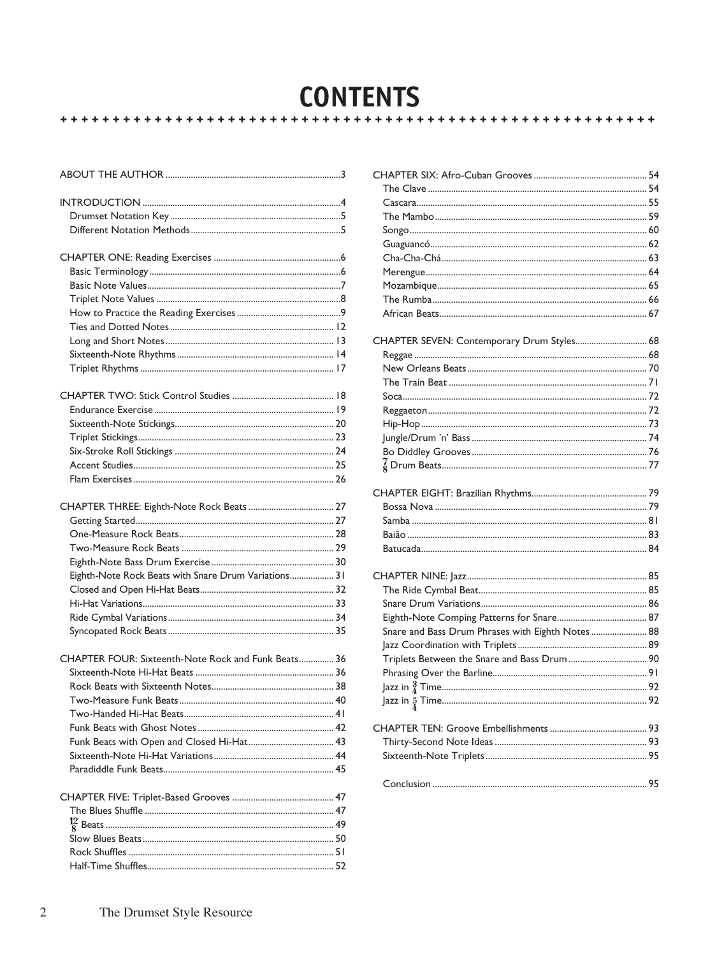#### **CONTENTS** ++++++++++++++++++++++++++++ \*\*\*\*\*\*\*\*\*\*\*\*\*\*\*\*\*\*\*\*\*\*\*\*\*\*\*\*\*

| Eighth-Note Rock Beats with Snare Drum Variations 31 |  |
|------------------------------------------------------|--|
|                                                      |  |
|                                                      |  |
|                                                      |  |
|                                                      |  |
| CHAPTER FOUR: Sixteenth-Note Rock and Funk Beats 36  |  |
|                                                      |  |
|                                                      |  |
|                                                      |  |
|                                                      |  |
|                                                      |  |
|                                                      |  |
|                                                      |  |
|                                                      |  |
|                                                      |  |
|                                                      |  |
|                                                      |  |
|                                                      |  |
|                                                      |  |
|                                                      |  |

| 3   |                                                   |  |
|-----|---------------------------------------------------|--|
|     |                                                   |  |
| 4   |                                                   |  |
| 5   |                                                   |  |
| 5   |                                                   |  |
|     |                                                   |  |
| . 6 |                                                   |  |
| . 6 |                                                   |  |
| 7   |                                                   |  |
| . 8 |                                                   |  |
| . 9 |                                                   |  |
| 12  |                                                   |  |
| 13  | CHAPTER SEVEN: Contemporary Drum Styles 68        |  |
| 14  |                                                   |  |
| 17  |                                                   |  |
|     |                                                   |  |
| 18  |                                                   |  |
| 19  |                                                   |  |
| 20  |                                                   |  |
| 23  |                                                   |  |
| 24  |                                                   |  |
| 25  |                                                   |  |
| 26  |                                                   |  |
|     |                                                   |  |
| 27  |                                                   |  |
| 27  |                                                   |  |
| 28  |                                                   |  |
| 29  |                                                   |  |
| 30  |                                                   |  |
| 31  |                                                   |  |
| 32  |                                                   |  |
| 33  |                                                   |  |
| 34  |                                                   |  |
| 35  | Snare and Bass Drum Phrases with Eighth Notes  88 |  |
|     |                                                   |  |
| 36  | Triplets Between the Snare and Bass Drum 90       |  |
| 36  |                                                   |  |
| 38  |                                                   |  |
| 40  |                                                   |  |
| 41  |                                                   |  |
| 42  |                                                   |  |
| 43  |                                                   |  |
| 44  |                                                   |  |
| 45  |                                                   |  |
|     |                                                   |  |
| 47  |                                                   |  |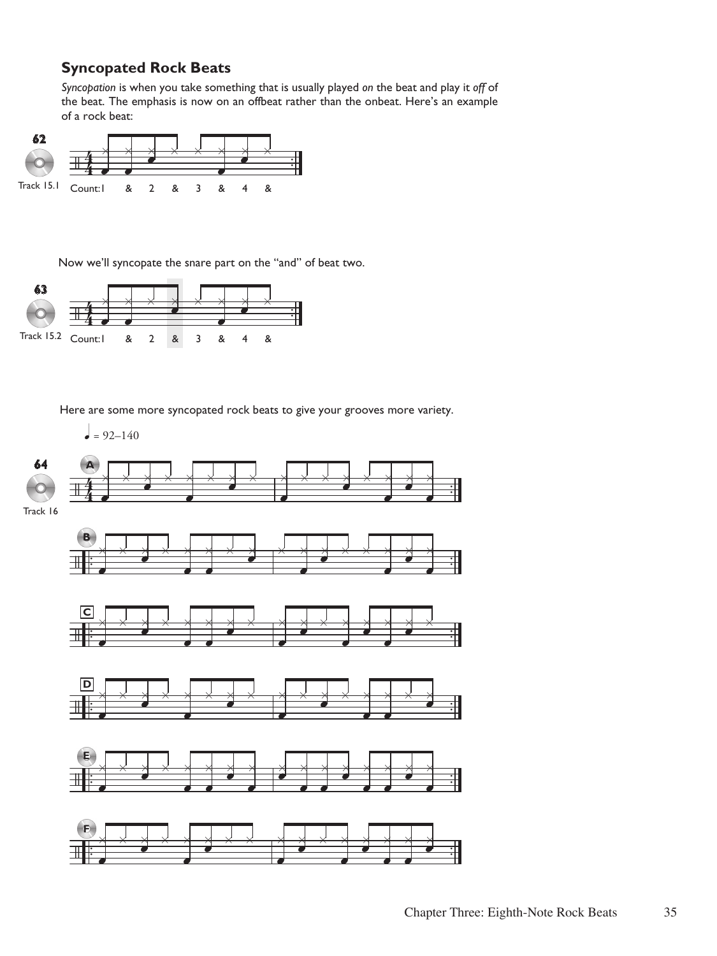# **Syncopated Rock Beats**

*Syncopation* is when you take something that is usually played *on* the beat and play it *off* of the beat. The emphasis is now on an offbeat rather than the onbeat. Here's an example of a rock beat:



Now we'll syncopate the snare part on the "and" of beat two.



Here are some more syncopated rock beats to give your grooves more variety.

 $\bullet$  = 92–140

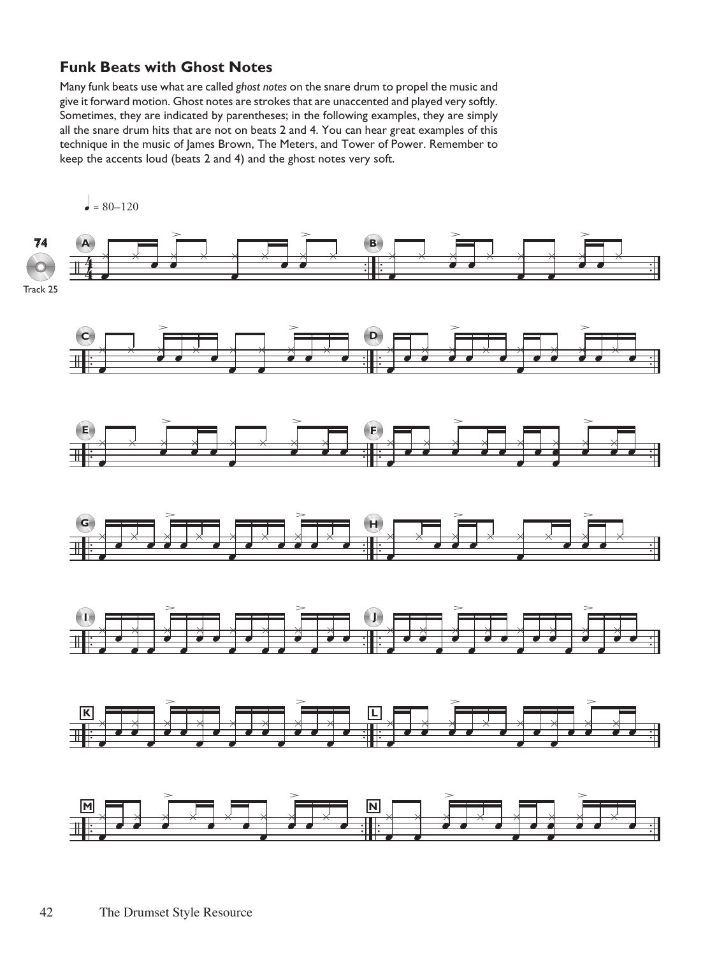### **Funk Beats with Ghost Notes**

Many funk beats use what are called ghost notes on the snare drum to propel the music and give it forward motion. Ghost notes are strokes that are unaccented and played very softly. Sometimes, they are indicated by parentheses; in the following examples, they are simply all the snare drum hits that are not on beats 2 and 4. You can hear great examples of this technique in the music of James Brown, The Meters, and Tower of Power. Remember to keep the accents loud (beats 2 and 4) and the ghost notes very soft.

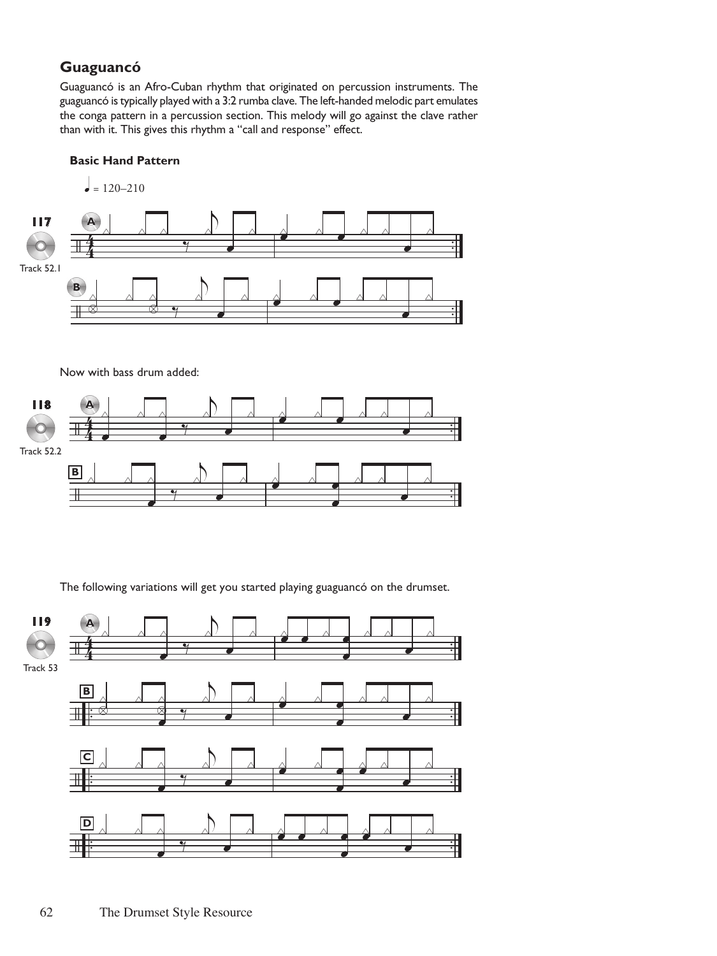# **Guaguancó**

Guaguancó is an Afro-Cuban rhythm that originated on percussion instruments. The guaguancó is typically played with a 3:2 rumba clave. The left-handed melodic part emulates the conga pattern in a percussion section. This melody will go against the clave rather than with it. This gives this rhythm a "call and response" effect.

#### **Basic Hand Pattern**



Now with bass drum added:



The following variations will get you started playing guaguancó on the drumset.

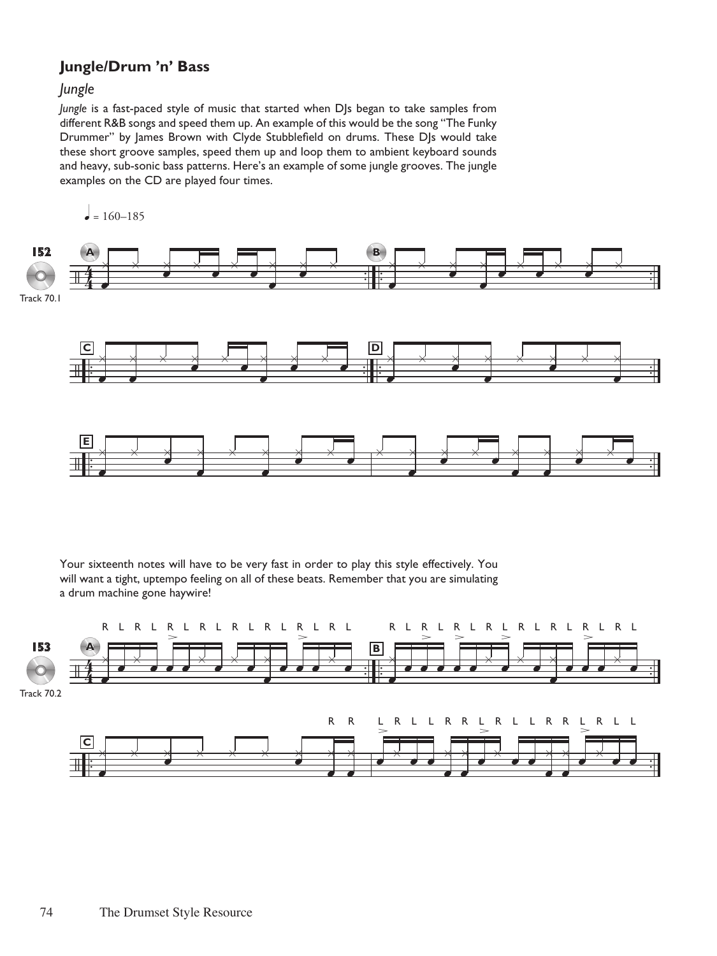## **Jungle/Drum 'n' Bass**

### *Jungle*

*Jungle* is a fast-paced style of music that started when DJs began to take samples from different R&B songs and speed them up. An example of this would be the song "The Funky Drummer" by James Brown with Clyde Stubblefield on drums. These DJs would take these short groove samples, speed them up and loop them to ambient keyboard sounds and heavy, sub-sonic bass patterns. Here's an example of some jungle grooves. The jungle examples on the CD are played four times.

/ 44 . . . . . . **A** x œ x x œ x œ x œ x œ x œ x **B** x œ x x œ x œ œ x œ x x œ x / . . . . . . . . **<sup>C</sup>** x œ x œ x x œ x œ x œ x œ x œ **D** x œ x x œ x œ x x œ x x œ / . . . . **<sup>E</sup>** x œ x x œ x œ x x œ x œ x œ x x œ x œ x œ x œ x œ x œ x œ q = 160–185 **152** Track 70.1

Your sixteenth notes will have to be very fast in order to play this style effectively. You will want a tight, uptempo feeling on all of these beats. Remember that you are simulating a drum machine gone haywire!